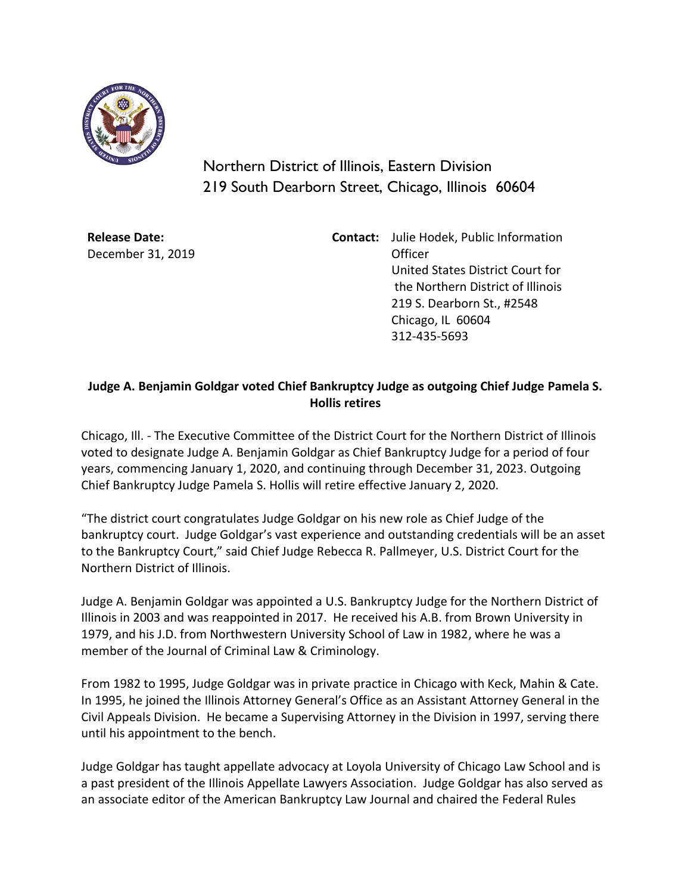

Northern District of Illinois, Eastern Division 219 South Dearborn Street, Chicago, Illinois 60604

**Release Date:** December 31, 2019 **Contact:** Julie Hodek, Public Information Officer United States District Court for the Northern District of Illinois 219 S. Dearborn St., #2548 Chicago, IL 60604 312-435-5693

## **Judge A. Benjamin Goldgar voted Chief Bankruptcy Judge as outgoing Chief Judge Pamela S. Hollis retires**

Chicago, Ill. - The Executive Committee of the District Court for the Northern District of Illinois voted to designate Judge A. Benjamin Goldgar as Chief Bankruptcy Judge for a period of four years, commencing January 1, 2020, and continuing through December 31, 2023. Outgoing Chief Bankruptcy Judge Pamela S. Hollis will retire effective January 2, 2020.

"The district court congratulates Judge Goldgar on his new role as Chief Judge of the bankruptcy court. Judge Goldgar's vast experience and outstanding credentials will be an asset to the Bankruptcy Court," said Chief Judge Rebecca R. Pallmeyer, U.S. District Court for the Northern District of Illinois.

Judge A. Benjamin Goldgar was appointed a U.S. Bankruptcy Judge for the Northern District of Illinois in 2003 and was reappointed in 2017. He received his A.B. from Brown University in 1979, and his J.D. from Northwestern University School of Law in 1982, where he was a member of the Journal of Criminal Law & Criminology.

From 1982 to 1995, Judge Goldgar was in private practice in Chicago with Keck, Mahin & Cate. In 1995, he joined the Illinois Attorney General's Office as an Assistant Attorney General in the Civil Appeals Division. He became a Supervising Attorney in the Division in 1997, serving there until his appointment to the bench.

Judge Goldgar has taught appellate advocacy at Loyola University of Chicago Law School and is a past president of the Illinois Appellate Lawyers Association. Judge Goldgar has also served as an associate editor of the American Bankruptcy Law Journal and chaired the Federal Rules